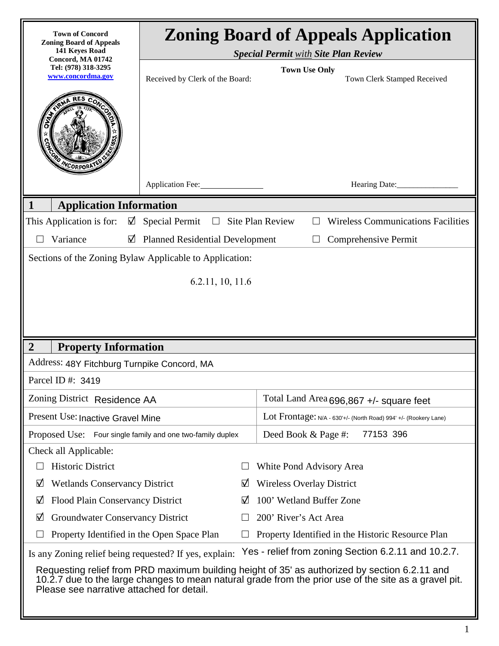| <b>Town of Concord</b><br><b>Zoning Board of Appeals</b><br>141 Keyes Road<br>Concord, MA 01742                                                                                                                                                     | <b>Zoning Board of Appeals Application</b><br><b>Special Permit with Site Plan Review</b> |   |                                                                                 |  |  |  |
|-----------------------------------------------------------------------------------------------------------------------------------------------------------------------------------------------------------------------------------------------------|-------------------------------------------------------------------------------------------|---|---------------------------------------------------------------------------------|--|--|--|
| Tel: (978) 318-3295<br>www.concordma.gov                                                                                                                                                                                                            | Received by Clerk of the Board:                                                           |   | <b>Town Use Only</b><br>Town Clerk Stamped Received                             |  |  |  |
| WCORPORA                                                                                                                                                                                                                                            |                                                                                           |   |                                                                                 |  |  |  |
|                                                                                                                                                                                                                                                     | Application Fee:                                                                          |   | Hearing Date:                                                                   |  |  |  |
| <b>Application Information</b><br>1                                                                                                                                                                                                                 |                                                                                           |   |                                                                                 |  |  |  |
| This Application is for:                                                                                                                                                                                                                            | $\boxtimes$ Special Permit<br>$\Box$                                                      |   | <b>Wireless Communications Facilities</b><br><b>Site Plan Review</b><br>$\perp$ |  |  |  |
| Variance<br>☑                                                                                                                                                                                                                                       | <b>Planned Residential Development</b><br>Comprehensive Permit                            |   |                                                                                 |  |  |  |
| Sections of the Zoning Bylaw Applicable to Application:                                                                                                                                                                                             |                                                                                           |   |                                                                                 |  |  |  |
|                                                                                                                                                                                                                                                     | 6.2.11, 10, 11.6                                                                          |   |                                                                                 |  |  |  |
|                                                                                                                                                                                                                                                     |                                                                                           |   |                                                                                 |  |  |  |
|                                                                                                                                                                                                                                                     |                                                                                           |   |                                                                                 |  |  |  |
|                                                                                                                                                                                                                                                     |                                                                                           |   |                                                                                 |  |  |  |
| <b>Property Information</b><br>$\overline{2}$                                                                                                                                                                                                       |                                                                                           |   |                                                                                 |  |  |  |
| Address: 48Y Fitchburg Turnpike Concord, MA                                                                                                                                                                                                         |                                                                                           |   |                                                                                 |  |  |  |
| Parcel ID #: 3419                                                                                                                                                                                                                                   |                                                                                           |   |                                                                                 |  |  |  |
| Zoning District Residence AA                                                                                                                                                                                                                        |                                                                                           |   | Total Land Area 696,867 +/- square feet                                         |  |  |  |
| Present Use: Inactive Gravel Mine                                                                                                                                                                                                                   |                                                                                           |   | Lot Frontage: N/A - 630'+/- (North Road) 994' +/- (Rookery Lane)                |  |  |  |
| Proposed Use: Four single family and one two-family duplex                                                                                                                                                                                          |                                                                                           |   | 77153 396<br>Deed Book & Page #:                                                |  |  |  |
| Check all Applicable:                                                                                                                                                                                                                               |                                                                                           |   |                                                                                 |  |  |  |
| <b>Historic District</b>                                                                                                                                                                                                                            |                                                                                           |   | White Pond Advisory Area                                                        |  |  |  |
| ☑<br><b>Wetlands Conservancy District</b>                                                                                                                                                                                                           |                                                                                           | ☑ | <b>Wireless Overlay District</b>                                                |  |  |  |
| Flood Plain Conservancy District<br>☑                                                                                                                                                                                                               |                                                                                           | ☑ | 100' Wetland Buffer Zone                                                        |  |  |  |
| <b>Groundwater Conservancy District</b><br>☑                                                                                                                                                                                                        |                                                                                           |   | 200' River's Act Area                                                           |  |  |  |
| Property Identified in the Open Space Plan                                                                                                                                                                                                          |                                                                                           | ⊔ | Property Identified in the Historic Resource Plan                               |  |  |  |
| Yes - relief from zoning Section 6.2.11 and 10.2.7.<br>Is any Zoning relief being requested? If yes, explain:                                                                                                                                       |                                                                                           |   |                                                                                 |  |  |  |
| Requesting relief from PRD maximum building height of 35' as authorized by section 6.2.11 and<br>10.2.7 due to the large changes to mean natural grade from the prior use of the site as a gravel pit.<br>Please see narrative attached for detail. |                                                                                           |   |                                                                                 |  |  |  |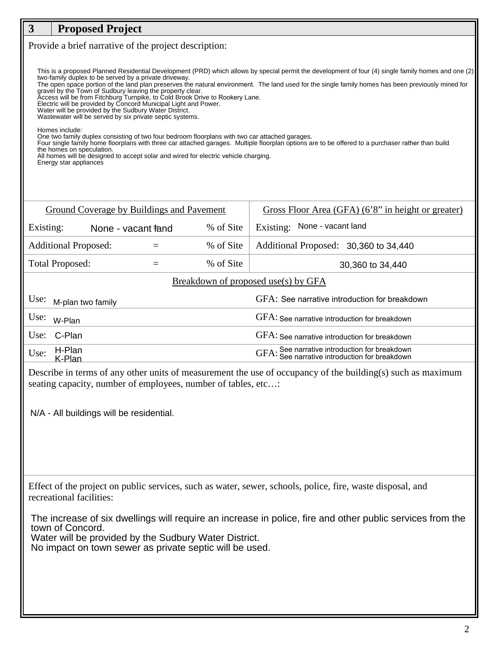## **3 Proposed Project** Provide a brief narrative of the project description: This is a proposed Planned Residential Development (PRD) which allows by special permit the development of four (4) single family homes and one (2) two-family duplex to be served by a private driveway. two-family duplex to be served by a private driveway. The open space portion of the land plan preserves the natural environment. The land used for the single family homes has been previously mined for gravel by the Town of Sudbury leaving the property clear. Access will be from Fitchburg Turnpike, to Cold Brook Drive to Rookery Lane. Electric will be provided by Concord Municipal Light and Power. Water will be provided by the Sudbury Water District.

Wastewater will be served by six private septic systems.

Homes include:

One two family duplex consisting of two four bedroom floorplans with two car attached garages.

Four single family home floorplans with three car attached garages. Multiple floorplan options are to be offered to a purchaser rather than build the homes on speculation.

All homes will be designed to accept solar and wired for electric vehicle charging.

Energy star appliances

| Ground Coverage by Buildings and Pavement |  |                                |           | Gross Floor Area (GFA) (6'8" in height or greater)                                             |  |  |
|-------------------------------------------|--|--------------------------------|-----------|------------------------------------------------------------------------------------------------|--|--|
| Existing:                                 |  | None - vacant <del>ta</del> nd | % of Site | None - vacant land<br>Existing:                                                                |  |  |
| <b>Additional Proposed:</b>               |  |                                | % of Site | Additional Proposed: 30,360 to 34,440                                                          |  |  |
| <b>Total Proposed:</b>                    |  |                                | % of Site | 30,360 to 34,440                                                                               |  |  |
| Breakdown of proposed use(s) by GFA       |  |                                |           |                                                                                                |  |  |
| Use:<br>M-plan two family                 |  |                                |           | GFA: See narrative introduction for breakdown                                                  |  |  |
| Use:<br>W-Plan                            |  |                                |           | GFA: See narrative introduction for breakdown                                                  |  |  |
| C-Plan<br>Use:                            |  |                                |           | GFA: See narrative introduction for breakdown                                                  |  |  |
| H-Plan<br>Use:<br>K-Plan                  |  |                                |           | GFA: See narrative introduction for breakdown<br>GFA: See narrative introduction for breakdown |  |  |
|                                           |  |                                |           |                                                                                                |  |  |

Describe in terms of any other units of measurement the use of occupancy of the building(s) such as maximum seating capacity, number of employees, number of tables, etc...:

N/A - All buildings will be residential.

Effect of the project on public services, such as water, sewer, schools, police, fire, waste disposal, and recreational facilities:

The increase of six dwellings will require an increase in police, fire and other public services from the town of Concord.

Water will be provided by the Sudbury Water District.

No impact on town sewer as private septic will be used.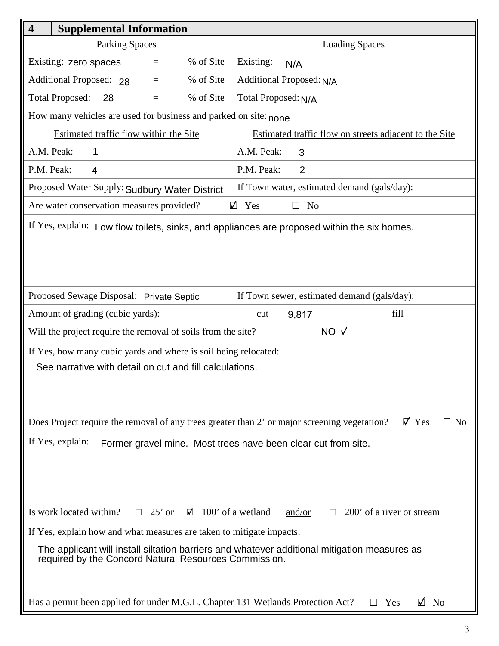| $\overline{\mathbf{4}}$<br><b>Supplemental Information</b>                                                                                            |                                                        |  |  |  |
|-------------------------------------------------------------------------------------------------------------------------------------------------------|--------------------------------------------------------|--|--|--|
| <b>Parking Spaces</b>                                                                                                                                 | <b>Loading Spaces</b>                                  |  |  |  |
| % of Site<br>Existing: zero spaces<br>$=$                                                                                                             | Existing:<br>N/A                                       |  |  |  |
| Additional Proposed: 28<br>% of Site<br>$=$                                                                                                           | Additional Proposed: N/A                               |  |  |  |
| % of Site<br><b>Total Proposed:</b><br>28<br>$=$                                                                                                      | Total Proposed: N/A                                    |  |  |  |
| How many vehicles are used for business and parked on site: none                                                                                      |                                                        |  |  |  |
| Estimated traffic flow within the Site                                                                                                                | Estimated traffic flow on streets adjacent to the Site |  |  |  |
| A.M. Peak:<br>1                                                                                                                                       | A.M. Peak:<br>3                                        |  |  |  |
| P.M. Peak:<br>$\overline{4}$                                                                                                                          | $\overline{2}$<br>P.M. Peak:                           |  |  |  |
| Proposed Water Supply: Sudbury Water District                                                                                                         | If Town water, estimated demand (gals/day):            |  |  |  |
| Are water conservation measures provided?                                                                                                             | $\boxtimes$ Yes<br>N <sub>o</sub><br>П                 |  |  |  |
| If Yes, explain: Low flow toilets, sinks, and appliances are proposed within the six homes.                                                           |                                                        |  |  |  |
| Proposed Sewage Disposal: Private Septic                                                                                                              | If Town sewer, estimated demand (gals/day):            |  |  |  |
| Amount of grading (cubic yards):                                                                                                                      | fill<br>cut<br>9,817                                   |  |  |  |
| Will the project require the removal of soils from the site?                                                                                          | $NO \sqrt{}$                                           |  |  |  |
| If Yes, how many cubic yards and where is soil being relocated:<br>See narrative with detail on cut and fill calculations.                            |                                                        |  |  |  |
| $\boxtimes$ Yes<br>Does Project require the removal of any trees greater than 2' or major screening vegetation?<br>$\Box$ No                          |                                                        |  |  |  |
| If Yes, explain:<br>Former gravel mine. Most trees have been clear cut from site.                                                                     |                                                        |  |  |  |
| Is work located within?<br>$25'$ or<br>$\boxtimes$ 100' of a wetland<br>200' of a river or stream<br>and/or<br>$\Box$<br>$\Box$                       |                                                        |  |  |  |
| If Yes, explain how and what measures are taken to mitigate impacts:                                                                                  |                                                        |  |  |  |
| The applicant will install siltation barriers and whatever additional mitigation measures as<br>required by the Concord Natural Resources Commission. |                                                        |  |  |  |
| Has a permit been applied for under M.G.L. Chapter 131 Wetlands Protection Act?                                                                       | $\boxtimes$ No<br>Yes<br>$\Box$                        |  |  |  |